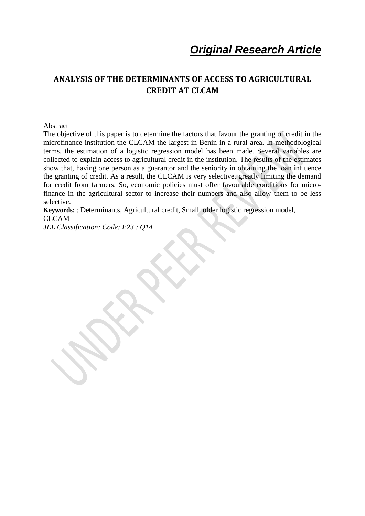# **ANALYSIS OF THE DETERMINANTS OF ACCESS TO AGRICULTURAL CREDIT AT CLCAM**

Abstract

The objective of this paper is to determine the factors that favour the granting of credit in the microfinance institution the CLCAM the largest in Benin in a rural area. In methodological terms, the estimation of a logistic regression model has been made. Several variables are collected to explain access to agricultural credit in the institution. The results of the estimates show that, having one person as a guarantor and the seniority in obtaining the loan influence the granting of credit. As a result, the CLCAM is very selective, greatly limiting the demand for credit from farmers. So, economic policies must offer favourable conditions for microfinance in the agricultural sector to increase their numbers and also allow them to be less selective.

**Keywords:** : Determinants, Agricultural credit, Smallholder logistic regression model, CLCAM

*JEL Classification: Code: E23 ; Q14*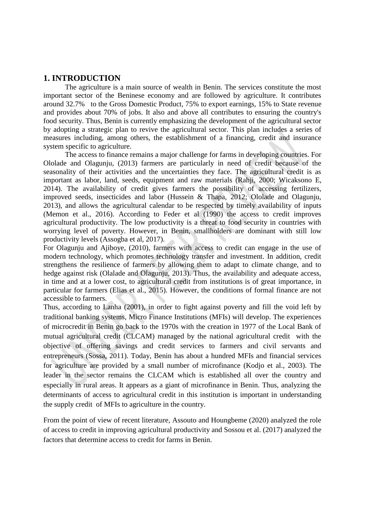### **1. INTRODUCTION**

The agriculture is a main source of wealth in Benin. The services constitute the most important sector of the Beninese economy and are followed by agriculture. It contributes around 32.7% to the Gross Domestic Product, 75% to export earnings, 15% to State revenue and provides about 70% of jobs. It also and above all contributes to ensuring the country's food security. Thus, Benin is currently emphasizing the development of the agricultural sector by adopting a strategic plan to revive the agricultural sector. This plan includes a series of measures including, among others, the establishment of a financing, credit and insurance system specific to agriculture.

The access to finance remains a major challenge for farms in developing countries. For Ololade and Olagunju, (2013) farmers are particularly in need of credit because of the seasonality of their activities and the uncertainties they face. The agricultural credit is as important as labor, land, seeds, equipment and raw materials (Rahji, 2000; Wicaksono E, 2014). The availability of credit gives farmers the possibility of accessing fertilizers, improved seeds, insecticides and labor (Hussein & Thapa, 2012; Ololade and Olagunju, 2013), and allows the agricultural calendar to be respected by timely availability of inputs (Memon et al., 2016). According to Feder et al (1990) the access to credit improves agricultural productivity. The low productivity is a threat to food security in countries with worrying level of poverty. However, in Benin, smallholders are dominant with still low productivity levels (Assogba et al, 2017).

For Olagunju and Ajiboye, (2010), farmers with access to credit can engage in the use of modern technology, which promotes technology transfer and investment. In addition, credit strengthens the resilience of farmers by allowing them to adapt to climate change, and to hedge against risk (Olalade and Olagunju, 2013). Thus, the availability and adequate access, in time and at a lower cost, to agricultural credit from institutions is of great importance, in particular for farmers (Elias et al., 2015). However, the conditions of formal finance are not accessible to farmers.

Thus, according to Lanha (2001), in order to fight against poverty and fill the void left by traditional banking systems, Micro Finance Institutions (MFIs) will develop. The experiences of microcredit in Benin go back to the 1970s with the creation in 1977 of the Local Bank of mutual agricultural credit (CLCAM) managed by the national agricultural credit with the objective of offering savings and credit services to farmers and civil servants and entrepreneurs (Sossa, 2011). Today, Benin has about a hundred MFIs and financial services for agriculture are provided by a small number of microfinance (Kodjo et al., 2003). The leader in the sector remains the CLCAM which is established all over the country and especially in rural areas. It appears as a giant of microfinance in Benin. Thus, analyzing the determinants of access to agricultural credit in this institution is important in understanding the supply credit of MFIs to agriculture in the country.

From the point of view of recent literature, Assouto and Houngbeme (2020) analyzed the role of access to credit in improving agricultural productivity and Sossou et al. (2017) analyzed the factors that determine access to credit for farms in Benin.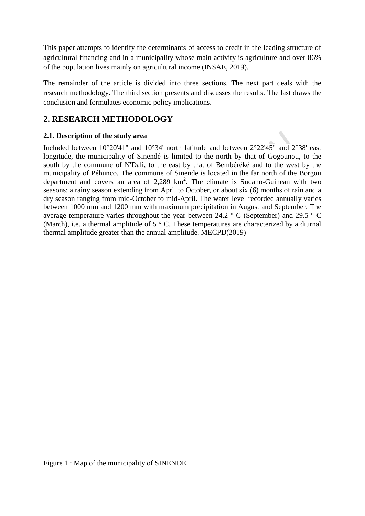This paper attempts to identify the determinants of access to credit in the leading structure of agricultural financing and in a municipality whose main activity is agriculture and over 86% of the population lives mainly on agricultural income (INSAE, 2019).

The remainder of the article is divided into three sections. The next part deals with the research methodology. The third section presents and discusses the results. The last draws the conclusion and formulates economic policy implications.

# **2. RESEARCH METHODOLOGY**

# **2.1. Description of the study area**

Included between 10°20'41" and 10°34' north latitude and between 2°22'45" and 2°38' east longitude, the municipality of Sinendé is limited to the north by that of Gogounou, to the south by the commune of N'Dali, to the east by that of Bembéréké and to the west by the municipality of Péhunco. The commune of Sinende is located in the far north of the Borgou department and covers an area of 2,289 km<sup>2</sup>. The climate is Sudano-Guinean with two seasons: a rainy season extending from April to October, or about six (6) months of rain and a dry season ranging from mid-October to mid-April. The water level recorded annually varies between 1000 mm and 1200 mm with maximum precipitation in August and September. The average temperature varies throughout the year between 24.2 ° C (September) and 29.5 ° C (March), i.e. a thermal amplitude of  $5 \degree$  C. These temperatures are characterized by a diurnal thermal amplitude greater than the annual amplitude. MECPD(2019)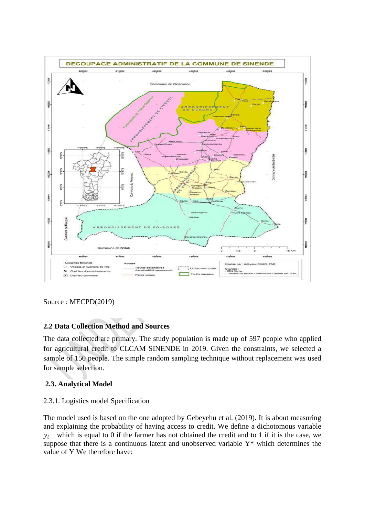

Source : MECPD(2019)

# **2.2 Data Collection Method and Sources**

The data collected are primary. The study population is made up of 597 people who applied for agricultural credit to CLCAM SINENDE in 2019. Given the constraints, we selected a sample of 150 people. The simple random sampling technique without replacement was used for sample selection.

### **2.3. Analytical Model**

#### 2.3.1. Logistics model Specification

The model used is based on the one adopted by Gebeyehu et al. (2019). It is about measuring and explaining the probability of having access to credit. We define a dichotomous variable  $y_i$  which is equal to 0 if the farmer has not obtained the credit and to 1 if it is the case, we suppose that there is a continuous latent and unobserved variable Y\* which determines the value of Y We therefore have: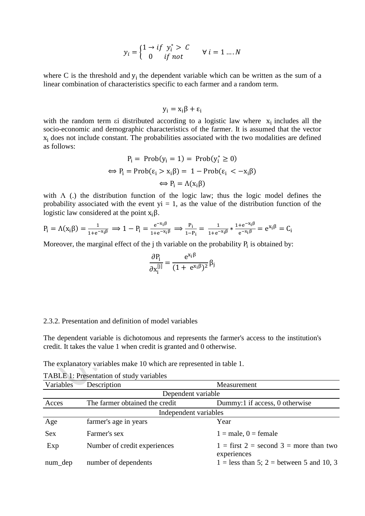$$
y_i = \begin{cases} 1 \to if \ y_i^* > C \\ 0 \quad if \ not \end{cases} \forall i = 1 \dots N
$$

where C is the threshold and  $y_i$  the dependent variable which can be written as the sum of a linear combination of characteristics specific to each farmer and a random term.

$$
y_i = x_i \beta + \varepsilon_i
$$

with the random term  $\epsilon i$  distributed according to a logistic law where  $x_i$  includes all the socio-economic and demographic characteristics of the farmer. It is assumed that the vector  $x_i$  does not include constant. The probabilities associated with the two modalities are defined as follows:

$$
P_i = Prob(y_i = 1) = Prob(y_i^* \ge 0)
$$
  
\n
$$
\Leftrightarrow P_i = Prob(\epsilon_i > x_i \beta) = 1 - Prob(\epsilon_i < -x_i \beta)
$$
  
\n
$$
\Leftrightarrow P_i = \Lambda(x_i \beta)
$$

with  $\Lambda$  (.) the distribution function of the logic law; thus the logic model defines the probability associated with the event  $yi = 1$ , as the value of the distribution function of the logistic law considered at the point  $x_i\beta$ .

$$
P_i=\Lambda(x_i\beta)=\tfrac{1}{1+e^{-x_i\beta}}\Longrightarrow 1-P_i=\tfrac{e^{-x_i\beta}}{1+e^{-x_i\beta}}\Longrightarrow \tfrac{P_i}{1-P_i}=\tfrac{1}{1+e^{-x_i\beta}}*\tfrac{1+e^{-x_i\beta}}{e^{-x_i\beta}}=e^{x_i\beta}=C_i
$$

Moreover, the marginal effect of the  $j$  th variable on the probability  $P_i$  is obtained by:

$$
\frac{\partial P_i}{\partial x_i^{[j]}} = \frac{e^{x_i \beta}}{(1 + e^{x_i \beta})^2} \beta_j
$$

#### 2.3.2. Presentation and definition of model variables

The dependent variable is dichotomous and represents the farmer's access to the institution's credit. It takes the value 1 when credit is granted and 0 otherwise.

The explanatory variables make 10 which are represented in table 1.

| Variables  | Description                    | Measurement                                             |
|------------|--------------------------------|---------------------------------------------------------|
|            | Dependent variable             |                                                         |
| Acces      | The farmer obtained the credit | Dummy:1 if access, 0 otherwise                          |
|            | Independent variables          |                                                         |
| Age        | farmer's age in years          | Year                                                    |
| <b>Sex</b> | Farmer's sex                   | $1 = male, 0 = female$                                  |
| Exp        | Number of credit experiences   | $1 =$ first 2 = second 3 = more than two<br>experiences |
| $num\_dep$ | number of dependents           | $1 =$ less than 5; 2 = between 5 and 10, 3              |

TABLE 1: Presentation of study variables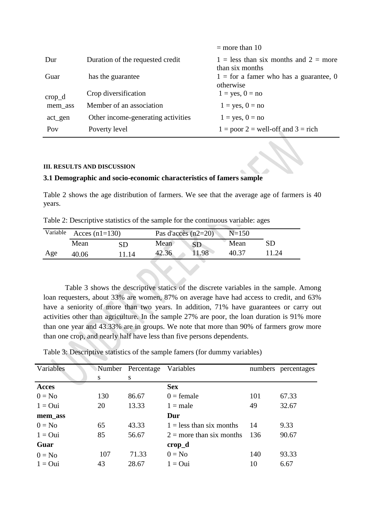|                  |                                    | $=$ more than 10                                             |
|------------------|------------------------------------|--------------------------------------------------------------|
| Dur              | Duration of the requested credit   | $1 =$ less than six months and $2 =$ more<br>than six months |
| Guar             | has the guarantee                  | $1 =$ for a famer who has a guarantee, 0<br>otherwise        |
| $\text{crop\_d}$ | Crop diversification               | $1 = yes, 0 = no$                                            |
| mem_ass          | Member of an association           | $1 = yes, 0 = no$                                            |
| act_gen          | Other income-generating activities | $1 = yes, 0 = no$                                            |
| Pov              | Poverty level                      | $1 =$ poor $2 =$ well-off and $3 =$ rich                     |

#### **III. RESULTS AND DISCUSSION**

#### **3.1 Demographic and socio-economic characteristics of famers sample**

Table 2 shows the age distribution of farmers. We see that the average age of farmers is 40 years.

Table 2: Descriptive statistics of the sample for the continuous variable: ages

| Variable | Acces $(n1=130)$ |      |       | Pas d'accès $(n2=20)$ |       |       |
|----------|------------------|------|-------|-----------------------|-------|-------|
|          | Mean             | SD   | Mean  |                       | Mean  |       |
| Age      | 40.06            | 1.14 | 42.36 | 11.98                 | 40.37 | 11.24 |

Table 3 shows the descriptive statics of the discrete variables in the sample. Among loan requesters, about 33% are women, 87% on average have had access to credit, and 63% have a seniority of more than two years. In addition, 71% have guarantees or carry out activities other than agriculture. In the sample 27% are poor, the loan duration is 91% more than one year and 43.33% are in groups. We note that more than 90% of farmers grow more than one crop, and nearly half have less than five persons dependents.

Table 3: Descriptive statistics of the sample famers (for dummy variables)

| Variables    |     | Number Percentage | Variables                  |     | numbers percentages |
|--------------|-----|-------------------|----------------------------|-----|---------------------|
|              | S   | S                 |                            |     |                     |
| <b>Acces</b> |     |                   | <b>Sex</b>                 |     |                     |
| $0 = No$     | 130 | 86.67             | $0 =$ female               | 101 | 67.33               |
| $1 = Qui$    | 20  | 13.33             | $1 = male$                 | 49  | 32.67               |
| mem_ass      |     |                   | Dur                        |     |                     |
| $0 = No$     | 65  | 43.33             | $1 =$ less than six months | 14  | 9.33                |
| $1 = Qui$    | 85  | 56.67             | $2 =$ more than six months | 136 | 90.67               |
| Guar         |     |                   | $\mathbf{crop\_d}$         |     |                     |
| $0 = No$     | 107 | 71.33             | $0 = No$                   | 140 | 93.33               |
| $1 = Q$ ui   | 43  | 28.67             | $1 = Qui$                  | 10  | 6.67                |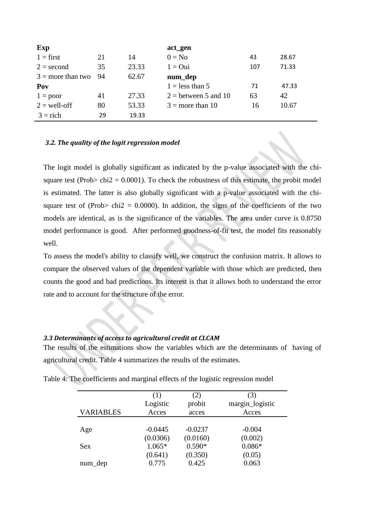| Exp                 |    |       | act_gen                |     |       |
|---------------------|----|-------|------------------------|-----|-------|
| $1 = first$         | 21 | 14    | $0 = No$               | 43  | 28.67 |
| $2 = second$        | 35 | 23.33 | $1 = Qui$              | 107 | 71.33 |
| $3 =$ more than two | 94 | 62.67 | num_dep                |     |       |
| Pov                 |    |       | $1 =$ less than 5      | 71  | 47.33 |
| $1 = poor$          | 41 | 27.33 | $2 =$ between 5 and 10 | 63  | 42    |
| $2 =$ well-off      | 80 | 53.33 | $3 =$ more than 10     | 16  | 10.67 |
| $3 =$ rich          | 29 | 19.33 |                        |     |       |

#### *3.2. The quality of the logit regression model*

The logit model is globally significant as indicated by the p-value associated with the chisquare test (Prob $>$  chi2 = 0.0001). To check the robustness of this estimate, the probit model is estimated. The latter is also globally significant with a p-value associated with the chisquare test of (Prob> chi2 = 0.0000). In addition, the signs of the coefficients of the two models are identical, as is the significance of the variables. The area under curve is 0.8750 model performance is good. After performed goodness-of-fit test, the model fits reasonably well.

To assess the model's ability to classify well, we construct the confusion matrix. It allows to compare the observed values of the dependent variable with those which are predicted, then counts the good and bad predictions. Its interest is that it allows both to understand the error rate and to account for the structure of the error.

#### *3.3 Determinants of access to agricultural credit at CLCAM*

The results of the estimations show the variables which are the determinants of having of agricultural credit. Table 4 summarizes the results of the estimates.

|                  | (1)<br>Logistic  | (2)<br>probit    | 3)<br>margin_logistic |
|------------------|------------------|------------------|-----------------------|
| <b>VARIABLES</b> | Acces            | acces            | Acces                 |
| Age              | $-0.0445$        | $-0.0237$        | $-0.004$              |
|                  | (0.0306)         | (0.0160)         | (0.002)               |
| <b>Sex</b>       | $1.065*$         | $0.590*$         | $0.086*$              |
|                  | (0.641)<br>0.775 | (0.350)<br>0.425 | (0.05)                |
| num_dep          |                  |                  | 0.063                 |

Table 4: The coefficients and marginal effects of the logistic regression model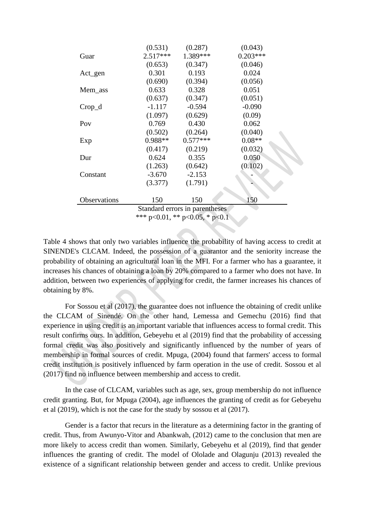|                                | (0.531)    | (0.287)    | (0.043)    |  |
|--------------------------------|------------|------------|------------|--|
| Guar                           | $2.517***$ | 1.389***   | $0.203***$ |  |
|                                | (0.653)    | (0.347)    | (0.046)    |  |
| $Act\_gen$                     | 0.301      | 0.193      | 0.024      |  |
|                                | (0.690)    | (0.394)    | (0.056)    |  |
| Mem_ass                        | 0.633      | 0.328      | 0.051      |  |
|                                | (0.637)    | (0.347)    | (0.051)    |  |
| $Crop_d$                       | $-1.117$   | $-0.594$   | $-0.090$   |  |
|                                | (1.097)    | (0.629)    | (0.09)     |  |
| Pov                            | 0.769      | 0.430      | 0.062      |  |
|                                | (0.502)    | (0.264)    | (0.040)    |  |
| Exp                            | $0.988**$  | $0.577***$ | $0.08**$   |  |
|                                | (0.417)    | (0.219)    | (0.032)    |  |
| Dur                            | 0.624      | 0.355      | 0.050      |  |
|                                | (1.263)    | (0.642)    | (0.102)    |  |
| Constant                       | $-3.670$   | $-2.153$   |            |  |
|                                | (3.377)    | (1.791)    |            |  |
| Observations                   | 150        | 150        | 150        |  |
| Standard errors in parentheses |            |            |            |  |

\*\*\* p<0.01, \*\* p<0.05, \* p<0.1

Table 4 shows that only two variables influence the probability of having access to credit at SINENDE's CLCAM. Indeed, the possession of a guarantor and the seniority increase the probability of obtaining an agricultural loan in the MFI. For a farmer who has a guarantee, it increases his chances of obtaining a loan by 20% compared to a farmer who does not have. In addition, between two experiences of applying for credit, the farmer increases his chances of obtaining by 8%.

For Sossou et al (2017), the guarantee does not influence the obtaining of credit unlike the CLCAM of Sinendé. On the other hand, Lemessa and Gemechu (2016) find that experience in using credit is an important variable that influences access to formal credit. This result confirms ours. In addition, Gebeyehu et al (2019) find that the probability of accessing formal credit was also positively and significantly influenced by the number of years of membership in formal sources of credit. Mpuga, (2004) found that farmers' access to formal credit institution is positively influenced by farm operation in the use of credit. Sossou et al (2017) find no influence between membership and access to credit.

In the case of CLCAM, variables such as age, sex, group membership do not influence credit granting. But, for Mpuga (2004), age influences the granting of credit as for Gebeyehu et al (2019), which is not the case for the study by sossou et al (2017).

Gender is a factor that recurs in the literature as a determining factor in the granting of credit. Thus, from Awunyo-Vitor and Abankwah, (2012) came to the conclusion that men are more likely to access credit than women. Similarly, Gebeyehu et al (2019), find that gender influences the granting of credit. The model of Ololade and Olagunju (2013) revealed the existence of a significant relationship between gender and access to credit. Unlike previous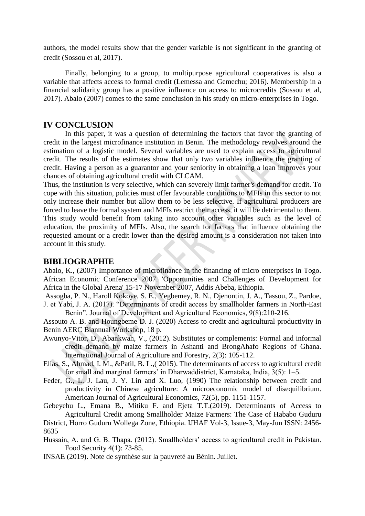authors, the model results show that the gender variable is not significant in the granting of credit (Sossou et al, 2017).

Finally, belonging to a group, to multipurpose agricultural cooperatives is also a variable that affects access to formal credit (Lemessa and Gemechu; 2016). Membership in a financial solidarity group has a positive influence on access to microcredits (Sossou et al, 2017). Abalo (2007) comes to the same conclusion in his study on micro-enterprises in Togo.

## **IV CONCLUSION**

In this paper, it was a question of determining the factors that favor the granting of credit in the largest microfinance institution in Benin. The methodology revolves around the estimation of a logistic model. Several variables are used to explain access to agricultural credit. The results of the estimates show that only two variables influence the granting of credit. Having a person as a guarantor and your seniority in obtaining a loan improves your chances of obtaining agricultural credit with CLCAM.

Thus, the institution is very selective, which can severely limit farmer's demand for credit. To cope with this situation, policies must offer favourable conditions to MFIs in this sector to not only increase their number but allow them to be less selective. If agricultural producers are forced to leave the formal system and MFIs restrict their access, it will be detrimental to them. This study would benefit from taking into account other variables such as the level of education, the proximity of MFIs. Also, the search for factors that influence obtaining the requested amount or a credit lower than the desired amount is a consideration not taken into account in this study. 

## **BIBLIOGRAPHIE**

Abalo, K., (2007) Importance of microfinance in the financing of micro enterprises in Togo. African Economic Conference 2007. 'Opportunities and Challenges of Development for Africa in the Global Arena' 15-17 November 2007, Addis Abeba, Ethiopia.

Assogba, P. N., Haroll Kokoye, S. E., Yegbemey, R. N., Djenontin, J. A., Tassou, Z., Pardoe, J. et Yabi, J. A. (2017). "Determinants of credit access by smallholder farmers in North-East Benin". Journal of Development and Agricultural Economics, 9(8):210-216.

Assouto A. B. and Houngbeme D. J. (2020) Access to credit and agricultural productivity in Benin AERC Biannual Workshop, 18 p.

- Awunyo-Vitor, D., Abankwah, V., (2012). Substitutes or complements: Formal and informal credit demand by maize farmers in Ashanti and BrongAhafo Regions of Ghana. International Journal of Agriculture and Forestry, 2(3): 105-112.
- Elias, S., Ahmad, I. M., &Patil, B. L.,( 2015). The determinants of access to agricultural credit for small and marginal farmers' in Dharwaddistrict, Karnataka, India, 3(5): 1–5.
- Feder, G., L. J. Lau, J. Y. Lin and X. Luo, (1990) The relationship between credit and productivity in Chinese agriculture: A microeconomic model of disequilibrium. American Journal of Agricultural Economics, 72(5), pp. 1151-1157.

Gebeyehu L., Emana B., Mitiku F. and Ejeta T.T.(2019). Determinants of Access to Agricultural Credit among Smallholder Maize Farmers: The Case of Hababo Guduru

District, Horro Guduru Wollega Zone, Ethiopia. IJHAF Vol-3, Issue-3, May-Jun ISSN: 2456- 8635

Hussain, A. and G. B. Thapa. (2012). Smallholders' access to agricultural credit in Pakistan. Food Security 4(1): 73-85.

INSAE (2019). Note de synthèse sur la pauvreté au Bénin. Juillet.